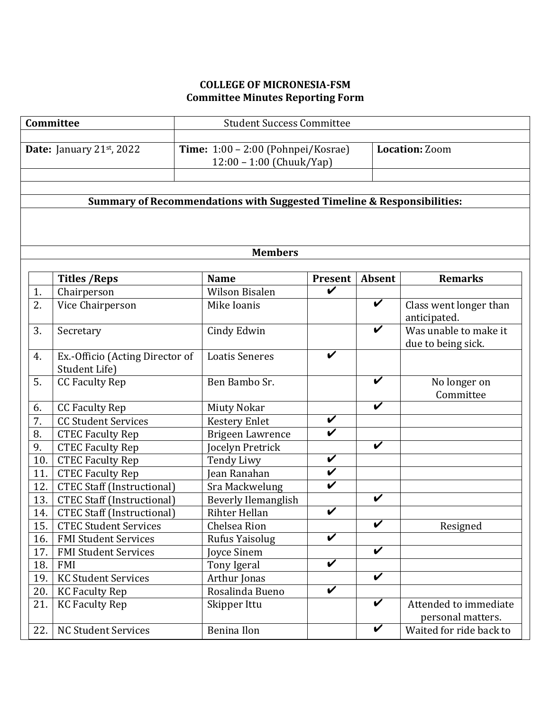## **COLLEGE OF MICRONESIA-FSM Committee Minutes Reporting Form**

| Committee                                                                         |                                                  | <b>Student Success Committee</b>                               |                                           |                            |                                             |  |  |  |  |
|-----------------------------------------------------------------------------------|--------------------------------------------------|----------------------------------------------------------------|-------------------------------------------|----------------------------|---------------------------------------------|--|--|--|--|
|                                                                                   | Date: January 21st, 2022                         | Time: 1:00 - 2:00 (Pohnpei/Kosrae)<br>12:00 - 1:00 (Chuuk/Yap) |                                           |                            | <b>Location: Zoom</b>                       |  |  |  |  |
| <b>Summary of Recommendations with Suggested Timeline &amp; Responsibilities:</b> |                                                  |                                                                |                                           |                            |                                             |  |  |  |  |
|                                                                                   |                                                  |                                                                |                                           |                            |                                             |  |  |  |  |
|                                                                                   |                                                  |                                                                |                                           |                            |                                             |  |  |  |  |
| <b>Members</b>                                                                    |                                                  |                                                                |                                           |                            |                                             |  |  |  |  |
|                                                                                   |                                                  |                                                                |                                           |                            |                                             |  |  |  |  |
| 1.                                                                                | <b>Titles / Reps</b><br>Chairperson              | <b>Name</b><br><b>Wilson Bisalen</b>                           | <b>Present</b><br>$\overline{\mathbf{v}}$ | Absent                     | <b>Remarks</b>                              |  |  |  |  |
| 2.                                                                                | Vice Chairperson                                 | Mike Ioanis                                                    |                                           | $\boldsymbol{\mathcal{U}}$ | Class went longer than<br>anticipated.      |  |  |  |  |
| 3.                                                                                | Secretary                                        | Cindy Edwin                                                    |                                           | $\boldsymbol{\mathcal{U}}$ | Was unable to make it<br>due to being sick. |  |  |  |  |
| 4.                                                                                | Ex.-Officio (Acting Director of<br>Student Life) | <b>Loatis Seneres</b>                                          | V                                         |                            |                                             |  |  |  |  |
| 5.                                                                                | <b>CC Faculty Rep</b>                            | Ben Bambo Sr.                                                  |                                           | $\checkmark$               | No longer on<br>Committee                   |  |  |  |  |
| 6.                                                                                | <b>CC Faculty Rep</b>                            | <b>Miuty Nokar</b>                                             |                                           | $\boldsymbol{\mathcal{U}}$ |                                             |  |  |  |  |
| 7.                                                                                | <b>CC Student Services</b>                       | <b>Kestery Enlet</b>                                           | $\boldsymbol{\mathcal{U}}$                |                            |                                             |  |  |  |  |
| 8.                                                                                | <b>CTEC Faculty Rep</b>                          | <b>Brigeen Lawrence</b>                                        | $\checkmark$                              |                            |                                             |  |  |  |  |
| 9.                                                                                | <b>CTEC Faculty Rep</b>                          | Jocelyn Pretrick                                               |                                           | $\boldsymbol{\mathcal{U}}$ |                                             |  |  |  |  |
| 10.                                                                               | <b>CTEC Faculty Rep</b>                          | Tendy Liwy                                                     | $\checkmark$                              |                            |                                             |  |  |  |  |
| 11.                                                                               | <b>CTEC Faculty Rep</b>                          | Jean Ranahan                                                   | $\boldsymbol{\mathcal{U}}$                |                            |                                             |  |  |  |  |
| 12.                                                                               | <b>CTEC Staff (Instructional)</b>                | Sra Mackwelung                                                 | $\overline{\mathbf{v}}$                   |                            |                                             |  |  |  |  |
| 13.                                                                               | <b>CTEC Staff (Instructional)</b>                | <b>Beverly Ilemanglish</b>                                     |                                           | $\boldsymbol{\mathcal{U}}$ |                                             |  |  |  |  |
| 14.                                                                               | <b>CTEC Staff (Instructional)</b>                | Rihter Hellan                                                  | $\overline{\mathbf{v}}$                   |                            |                                             |  |  |  |  |
| 15.                                                                               | <b>CTEC Student Services</b>                     | Chelsea Rion                                                   |                                           | $\overline{\mathbf{v}}$    | Resigned                                    |  |  |  |  |
| 16.                                                                               | <b>FMI Student Services</b>                      | Rufus Yaisolug                                                 | $\overline{\mathbf{v}}$                   |                            |                                             |  |  |  |  |
| 17.                                                                               | <b>FMI Student Services</b>                      | <b>Joyce Sinem</b>                                             |                                           | V                          |                                             |  |  |  |  |
| 18.                                                                               | <b>FMI</b>                                       | Tony Igeral                                                    | $\boldsymbol{\mathcal{U}}$                |                            |                                             |  |  |  |  |
| 19.                                                                               | <b>KC Student Services</b>                       | Arthur Jonas                                                   |                                           | $\overline{\mathbf{v}}$    |                                             |  |  |  |  |
| 20.                                                                               | <b>KC Faculty Rep</b>                            | Rosalinda Bueno                                                | $\boldsymbol{\mathcal{U}}$                |                            |                                             |  |  |  |  |
| 21.                                                                               | <b>KC Faculty Rep</b>                            | Skipper Ittu                                                   |                                           | V                          | Attended to immediate<br>personal matters.  |  |  |  |  |
| 22.                                                                               | <b>NC Student Services</b>                       | <b>Benina Ilon</b>                                             |                                           | V                          | Waited for ride back to                     |  |  |  |  |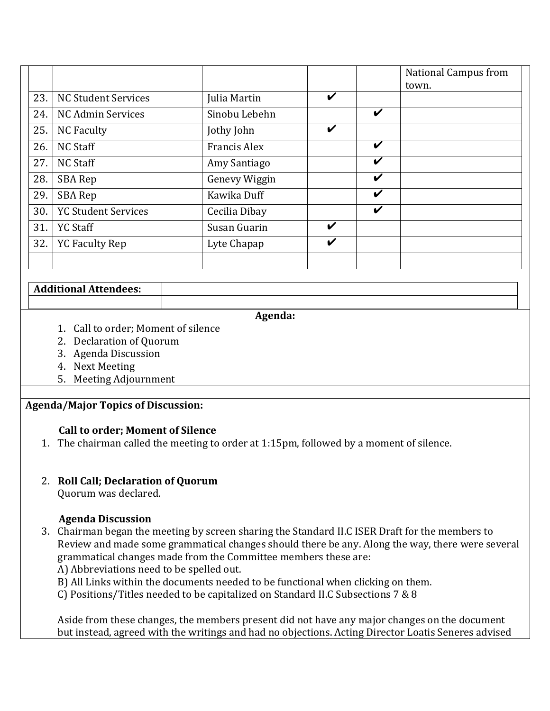|     |                            |                     |                    |   | <b>National Campus from</b><br>town. |
|-----|----------------------------|---------------------|--------------------|---|--------------------------------------|
| 23. | <b>NC Student Services</b> | Julia Martin        | $\boldsymbol{\nu}$ |   |                                      |
| 24. | <b>NC Admin Services</b>   | Sinobu Lebehn       |                    | V |                                      |
| 25. | <b>NC Faculty</b>          | Jothy John          | V                  |   |                                      |
| 26. | <b>NC Staff</b>            | <b>Francis Alex</b> |                    | V |                                      |
| 27. | <b>NC Staff</b>            | Amy Santiago        |                    | V |                                      |
| 28. | SBA Rep                    | Genevy Wiggin       |                    | V |                                      |
| 29. | <b>SBA Rep</b>             | Kawika Duff         |                    | V |                                      |
| 30. | <b>YC Student Services</b> | Cecilia Dibay       |                    | V |                                      |
| 31. | <b>YC Staff</b>            | Susan Guarin        | V                  |   |                                      |
| 32. | <b>YC Faculty Rep</b>      | Lyte Chapap         | V                  |   |                                      |
|     |                            |                     |                    |   |                                      |

#### **Additional Attendees:**

**Agenda:**

- 1. Call to order: Moment of silence
- 2. Declaration of Quorum
- 3. Agenda Discussion
- 4. Next Meeting
- 5. Meeting Adjournment

# **Agenda/Major Topics of Discussion:**

## **Call to order; Moment of Silence**

1. The chairman called the meeting to order at 1:15pm, followed by a moment of silence.

## 2. **Roll Call; Declaration of Quorum**

Quorum was declared.

## **Agenda Discussion**

3. Chairman began the meeting by screen sharing the Standard II.C ISER Draft for the members to Review and made some grammatical changes should there be any. Along the way, there were several grammatical changes made from the Committee members these are:

A) Abbreviations need to be spelled out.

B) All Links within the documents needed to be functional when clicking on them.

C) Positions/Titles needed to be capitalized on Standard II.C Subsections 7 & 8

Aside from these changes, the members present did not have any major changes on the document but instead, agreed with the writings and had no objections. Acting Director Loatis Seneres advised